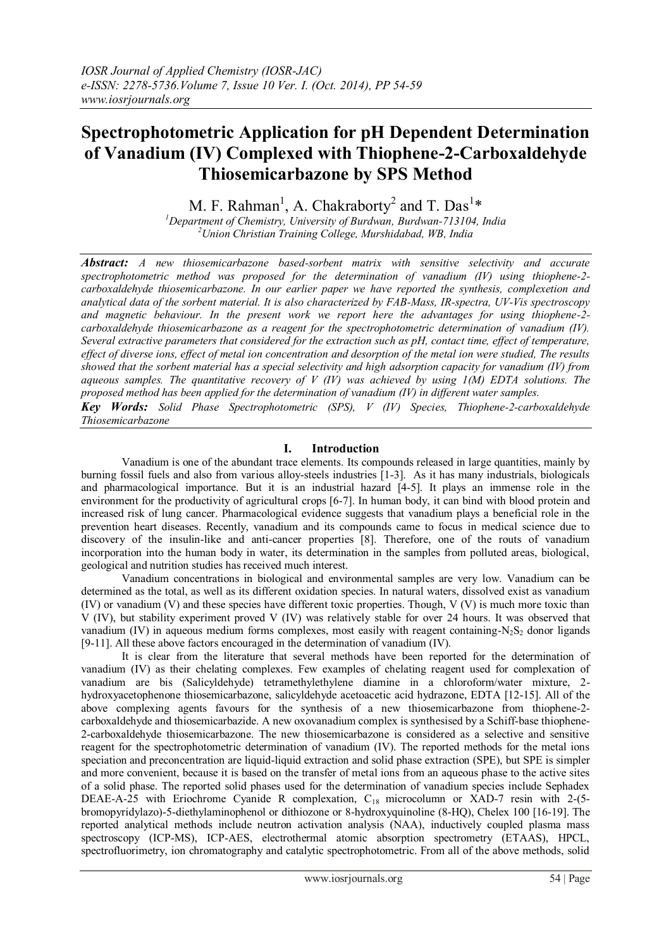# **Spectrophotometric Application for pH Dependent Determination of Vanadium (IV) Complexed with Thiophene-2-Carboxaldehyde Thiosemicarbazone by SPS Method**

M. F. Rahman<sup>1</sup>, A. Chakraborty<sup>2</sup> and T. Das<sup>1\*</sup>

*<sup>1</sup>Department of Chemistry, University of Burdwan, Burdwan-713104, India <sup>2</sup>Union Christian Training College, Murshidabad, WB, India*

*Abstract: A new thiosemicarbazone based-sorbent matrix with sensitive selectivity and accurate spectrophotometric method was proposed for the determination of vanadium (IV) using thiophene-2 carboxaldehyde thiosemicarbazone. In our earlier paper we have reported the synthesis, complexetion and analytical data of the sorbent material. It is also characterized by FAB-Mass, IR-spectra, UV-Vis spectroscopy and magnetic behaviour. In the present work we report here the advantages for using thiophene-2 carboxaldehyde thiosemicarbazone as a reagent for the spectrophotometric determination of vanadium (IV). Several extractive parameters that considered for the extraction such as pH, contact time, effect of temperature, effect of diverse ions, effect of metal ion concentration and desorption of the metal ion were studied, The results showed that the sorbent material has a special selectivity and high adsorption capacity for vanadium (IV) from aqueous samples. The quantitative recovery of V (IV) was achieved by using 1(M) EDTA solutions. The proposed method has been applied for the determination of vanadium (IV) in different water samples. Key Words: Solid Phase Spectrophotometric (SPS), V (IV) Species, Thiophene-2-carboxaldehyde* 

*Thiosemicarbazone*

# **I. Introduction**

Vanadium is one of the abundant trace elements. Its compounds released in large quantities, mainly by burning fossil fuels and also from various alloy-steels industries [1-3]. As it has many industrials, biologicals and pharmacological importance. But it is an industrial hazard [4-5]. It plays an immense role in the environment for the productivity of agricultural crops [6-7]. In human body, it can bind with blood protein and increased risk of lung cancer. Pharmacological evidence suggests that vanadium plays a beneficial role in the prevention heart diseases. Recently, vanadium and its compounds came to focus in medical science due to discovery of the insulin-like and anti-cancer properties [8]. Therefore, one of the routs of vanadium incorporation into the human body in water, its determination in the samples from polluted areas, biological, geological and nutrition studies has received much interest.

Vanadium concentrations in biological and environmental samples are very low. Vanadium can be determined as the total, as well as its different oxidation species. In natural waters, dissolved exist as vanadium (IV) or vanadium (V) and these species have different toxic properties. Though, V (V) is much more toxic than V (IV), but stability experiment proved V (IV) was relatively stable for over 24 hours. It was observed that vanadium (IV) in aqueous medium forms complexes, most easily with reagent containing- $N_2S_2$  donor ligands [9-11]. All these above factors encouraged in the determination of vanadium (IV).

It is clear from the literature that several methods have been reported for the determination of vanadium (IV) as their chelating complexes. Few examples of chelating reagent used for complexation of vanadium are bis (Salicyldehyde) tetramethylethylene diamine in a chloroform/water mixture, 2 hydroxyacetophenone thiosemicarbazone, salicyldehyde acetoacetic acid hydrazone, EDTA [12-15]. All of the above complexing agents favours for the synthesis of a new thiosemicarbazone from thiophene-2 carboxaldehyde and thiosemicarbazide. A new oxovanadium complex is synthesised by a Schiff-base thiophene-2-carboxaldehyde thiosemicarbazone. The new thiosemicarbazone is considered as a selective and sensitive reagent for the spectrophotometric determination of vanadium (IV). The reported methods for the metal ions speciation and preconcentration are liquid-liquid extraction and solid phase extraction (SPE), but SPE is simpler and more convenient, because it is based on the transfer of metal ions from an aqueous phase to the active sites of a solid phase. The reported solid phases used for the determination of vanadium species include Sephadex DEAE-A-25 with Eriochrome Cyanide R complexation, C<sub>18</sub> microcolumn or XAD-7 resin with 2-(5bromopyridylazo)-5-diethylaminophenol or dithiozone or 8-hydroxyquinoline (8-HQ), Chelex 100 [16-19]. The reported analytical methods include neutron activation analysis (NAA), inductively coupled plasma mass spectroscopy (ICP-MS), ICP-AES, electrothermal atomic absorption spectrometry (ETAAS), HPCL, spectrofluorimetry, ion chromatography and catalytic spectrophotometric. From all of the above methods, solid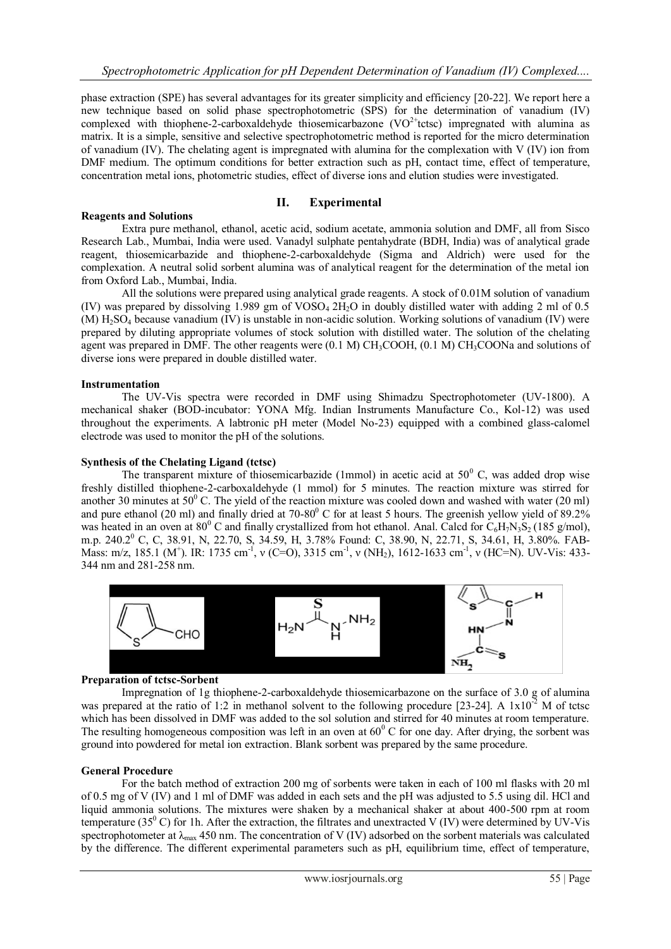phase extraction (SPE) has several advantages for its greater simplicity and efficiency [20-22]. We report here a new technique based on solid phase spectrophotometric (SPS) for the determination of vanadium (IV) complexed with thiophene-2-carboxaldehyde thiosemicarbazone (VO<sup>2+</sup>tctsc) impregnated with alumina as matrix. It is a simple, sensitive and selective spectrophotometric method is reported for the micro determination of vanadium (IV). The chelating agent is impregnated with alumina for the complexation with V (IV) ion from DMF medium. The optimum conditions for better extraction such as pH, contact time, effect of temperature, concentration metal ions, photometric studies, effect of diverse ions and elution studies were investigated.

#### **II. Experimental Reagents and Solutions**

Extra pure methanol, ethanol, acetic acid, sodium acetate, ammonia solution and DMF, all from Sisco Research Lab., Mumbai, India were used. Vanadyl sulphate pentahydrate (BDH, India) was of analytical grade reagent, thiosemicarbazide and thiophene-2-carboxaldehyde (Sigma and Aldrich) were used for the complexation. A neutral solid sorbent alumina was of analytical reagent for the determination of the metal ion from Oxford Lab., Mumbai, India.

All the solutions were prepared using analytical grade reagents. A stock of 0.01M solution of vanadium (IV) was prepared by dissolving 1.989 gm of VOSO<sub>4</sub> 2H<sub>2</sub>O in doubly distilled water with adding 2 ml of 0.5 (M) H2SO<sup>4</sup> because vanadium (IV) is unstable in non-acidic solution. Working solutions of vanadium (IV) were prepared by diluting appropriate volumes of stock solution with distilled water. The solution of the chelating agent was prepared in DMF. The other reagents were  $(0.1 \text{ M}) \text{CH}_3\text{COOH}$ ,  $(0.1 \text{ M}) \text{CH}_3\text{COON}$ a and solutions of diverse ions were prepared in double distilled water.

# **Instrumentation**

The UV-Vis spectra were recorded in DMF using Shimadzu Spectrophotometer (UV-1800). A mechanical shaker (BOD-incubator: YONA Mfg. Indian Instruments Manufacture Co., Kol-12) was used throughout the experiments. A labtronic pH meter (Model No-23) equipped with a combined glass-calomel electrode was used to monitor the pH of the solutions.

## **Synthesis of the Chelating Ligand (tctsc)**

The transparent mixture of thiosemicarbazide (1mmol) in acetic acid at  $50^{\circ}$  C, was added drop wise freshly distilled thiophene-2-carboxaldehyde (1 mmol) for 5 minutes. The reaction mixture was stirred for another 30 minutes at  $50^{\circ}$  C. The yield of the reaction mixture was cooled down and washed with water (20 ml) and pure ethanol (20 ml) and finally dried at  $70-80^{\circ}$  C for at least 5 hours. The greenish yellow yield of  $89.2\%$ was heated in an oven at 80<sup>0</sup> C and finally crystallized from hot ethanol. Anal. Calcd for  $C_6H_7N_3S_2$  (185 g/mol), m.p. 240.2<sup>0</sup> C, C, 38.91, N, 22.70, S, 34.59, H, 3.78% Found: C, 38.90, N, 22.71, S, 34.61, H, 3.80%. FAB-Mass: m/z, 185.1 (M<sup>+</sup>). IR: 1735 cm<sup>-1</sup>, v (C=O), 3315 cm<sup>-1</sup>, v (NH<sub>2</sub>), 1612-1633 cm<sup>-1</sup>, v (HC=N). UV-Vis: 433-344 nm and 281-258 nm.



#### **Preparation of tctsc-Sorbent**

Impregnation of 1g thiophene-2-carboxaldehyde thiosemicarbazone on the surface of 3.0 g of alumina was prepared at the ratio of 1:2 in methanol solvent to the following procedure [23-24]. A  $1x10^{-2}$  M of tctsc which has been dissolved in DMF was added to the sol solution and stirred for 40 minutes at room temperature. The resulting homogeneous composition was left in an oven at  $60^{\circ}$ C for one day. After drying, the sorbent was ground into powdered for metal ion extraction. Blank sorbent was prepared by the same procedure.

# **General Procedure**

For the batch method of extraction 200 mg of sorbents were taken in each of 100 ml flasks with 20 ml of 0.5 mg of V (IV) and 1 ml of DMF was added in each sets and the pH was adjusted to 5.5 using dil. HCl and liquid ammonia solutions. The mixtures were shaken by a mechanical shaker at about 400-500 rpm at room temperature (35 $\rm^0$  C) for 1h. After the extraction, the filtrates and unextracted V (IV) were determined by UV-Vis spectrophotometer at  $\lambda_{\text{max}}$  450 nm. The concentration of V (IV) adsorbed on the sorbent materials was calculated by the difference. The different experimental parameters such as pH, equilibrium time, effect of temperature,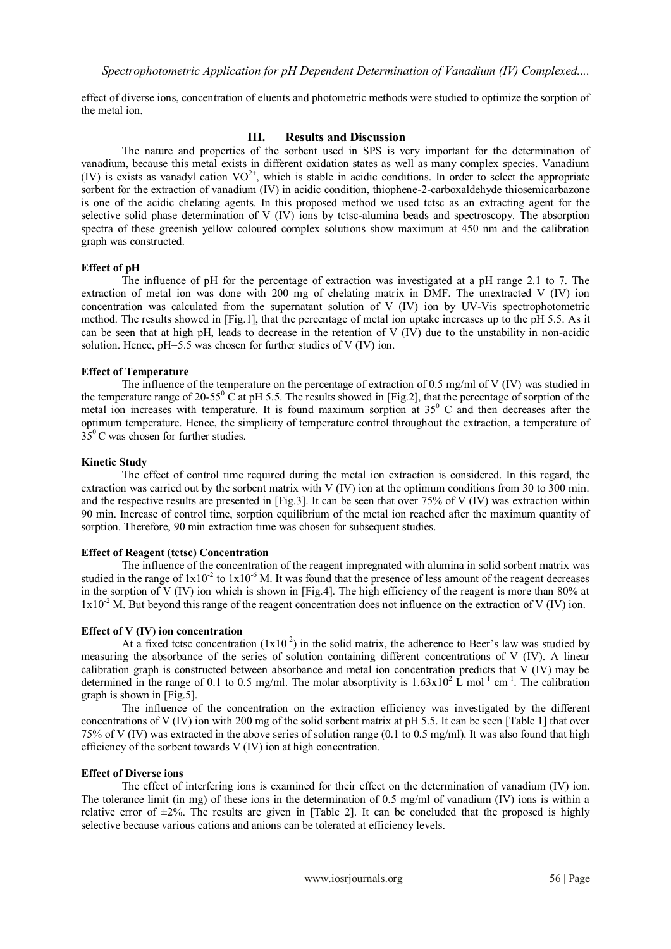effect of diverse ions, concentration of eluents and photometric methods were studied to optimize the sorption of the metal ion.

# **III. Results and Discussion**

The nature and properties of the sorbent used in SPS is very important for the determination of vanadium, because this metal exists in different oxidation states as well as many complex species. Vanadium (IV) is exists as vanadyl cation  $VO^{2+}$ , which is stable in acidic conditions. In order to select the appropriate sorbent for the extraction of vanadium (IV) in acidic condition, thiophene-2-carboxaldehyde thiosemicarbazone is one of the acidic chelating agents. In this proposed method we used tctsc as an extracting agent for the selective solid phase determination of V (IV) ions by tctsc-alumina beads and spectroscopy. The absorption spectra of these greenish yellow coloured complex solutions show maximum at 450 nm and the calibration graph was constructed.

## **Effect of pH**

The influence of pH for the percentage of extraction was investigated at a pH range 2.1 to 7. The extraction of metal ion was done with 200 mg of chelating matrix in DMF. The unextracted V (IV) ion concentration was calculated from the supernatant solution of V (IV) ion by UV-Vis spectrophotometric method. The results showed in [Fig.1], that the percentage of metal ion uptake increases up to the pH 5.5. As it can be seen that at high pH, leads to decrease in the retention of V (IV) due to the unstability in non-acidic solution. Hence, pH=5.5 was chosen for further studies of V (IV) ion.

## **Effect of Temperature**

The influence of the temperature on the percentage of extraction of 0.5 mg/ml of V (IV) was studied in the temperature range of 20-55<sup>0</sup> C at pH 5.5. The results showed in [Fig.2], that the percentage of sorption of the metal ion increases with temperature. It is found maximum sorption at  $35<sup>0</sup>$  C and then decreases after the optimum temperature. Hence, the simplicity of temperature control throughout the extraction, a temperature of  $35^{\circ}$ C was chosen for further studies.

#### **Kinetic Study**

The effect of control time required during the metal ion extraction is considered. In this regard, the extraction was carried out by the sorbent matrix with V (IV) ion at the optimum conditions from 30 to 300 min. and the respective results are presented in [Fig.3]. It can be seen that over 75% of V (IV) was extraction within 90 min. Increase of control time, sorption equilibrium of the metal ion reached after the maximum quantity of sorption. Therefore, 90 min extraction time was chosen for subsequent studies.

#### **Effect of Reagent (tctsc) Concentration**

The influence of the concentration of the reagent impregnated with alumina in solid sorbent matrix was studied in the range of  $1x10^{-2}$  to  $1x10^{-6}$  M. It was found that the presence of less amount of the reagent decreases in the sorption of V (IV) ion which is shown in [Fig.4]. The high efficiency of the reagent is more than 80% at  $1x10<sup>-2</sup>$  M. But beyond this range of the reagent concentration does not influence on the extraction of V (IV) ion.

#### **Effect of V (IV) ion concentration**

At a fixed tctsc concentration  $(1x10<sup>-2</sup>)$  in the solid matrix, the adherence to Beer's law was studied by measuring the absorbance of the series of solution containing different concentrations of V (IV). A linear calibration graph is constructed between absorbance and metal ion concentration predicts that V (IV) may be determined in the range of 0.1 to 0.5 mg/ml. The molar absorptivity is  $1.63 \times 10^2$  L mol<sup>-1</sup> cm<sup>-1</sup>. The calibration graph is shown in [Fig.5].

The influence of the concentration on the extraction efficiency was investigated by the different concentrations of V (IV) ion with 200 mg of the solid sorbent matrix at pH 5.5. It can be seen [Table 1] that over 75% of V (IV) was extracted in the above series of solution range (0.1 to 0.5 mg/ml). It was also found that high efficiency of the sorbent towards V (IV) ion at high concentration.

#### **Effect of Diverse ions**

The effect of interfering ions is examined for their effect on the determination of vanadium (IV) ion. The tolerance limit (in mg) of these ions in the determination of 0.5 mg/ml of vanadium (IV) ions is within a relative error of  $\pm 2\%$ . The results are given in [Table 2]. It can be concluded that the proposed is highly selective because various cations and anions can be tolerated at efficiency levels.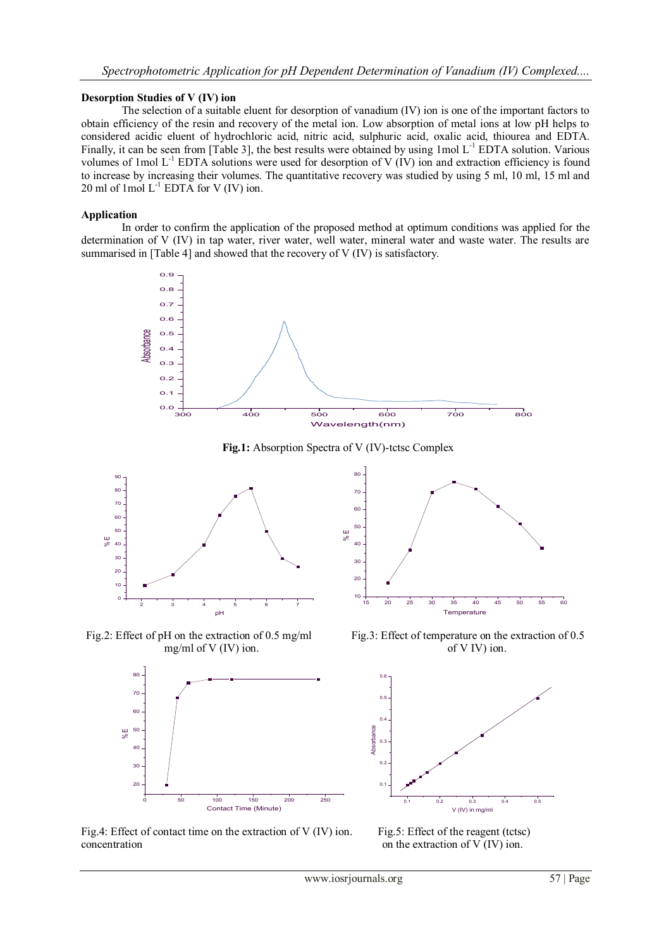# **Desorption Studies of V (IV) ion**

The selection of a suitable eluent for desorption of vanadium (IV) ion is one of the important factors to obtain efficiency of the resin and recovery of the metal ion. Low absorption of metal ions at low pH helps to considered acidic eluent of hydrochloric acid, nitric acid, sulphuric acid, oxalic acid, thiourea and EDTA. Finally, it can be seen from [Table 3], the best results were obtained by using  $1 \text{ mol } L^{-1}$  EDTA solution. Various volumes of 1mol  $L^{-1}$  EDTA solutions were used for desorption of V (IV) ion and extraction efficiency is found to increase by increasing their volumes. The quantitative recovery was studied by using 5 ml, 10 ml, 15 ml and 20 ml of 1 mol  $L^{-1}$  EDTA for V (IV) ion.

## **Application**

In order to confirm the application of the proposed method at optimum conditions was applied for the determination of V (IV) in tap water, river water, well water, mineral water and waste water. The results are summarised in [Table 4] and showed that the recovery of V (IV) is satisfactory.



**Fig.1:** Absorption Spectra of V (IV)-tctsc Complex



Fig.2: Effect of pH on the extraction of 0.5 mg/ml Fig.3: Effect of temperature on the extraction of 0.5



15 20 25 30 35 40 45 50 55 60  $10 + \cdots + \cdots$  $20 - 7$  $30 - 7$  $40 50 60 -$ 70 - **Paris Communist Communist Communist Communist Communist Communist Communist Communist Communist Communist Communist Communist Communist Communist Communist Communist Communist Communist Communist Communist Communist**  $80 -$ % E **Temperature** 

mg/ml of V (IV) ion.  $\qquad \qquad$  of V IV) ion.



Fig.4: Effect of contact time on the extraction of V (IV) ion. Fig.5: Effect of the reagent (tctsc) concentration on the extraction of V (IV) ion.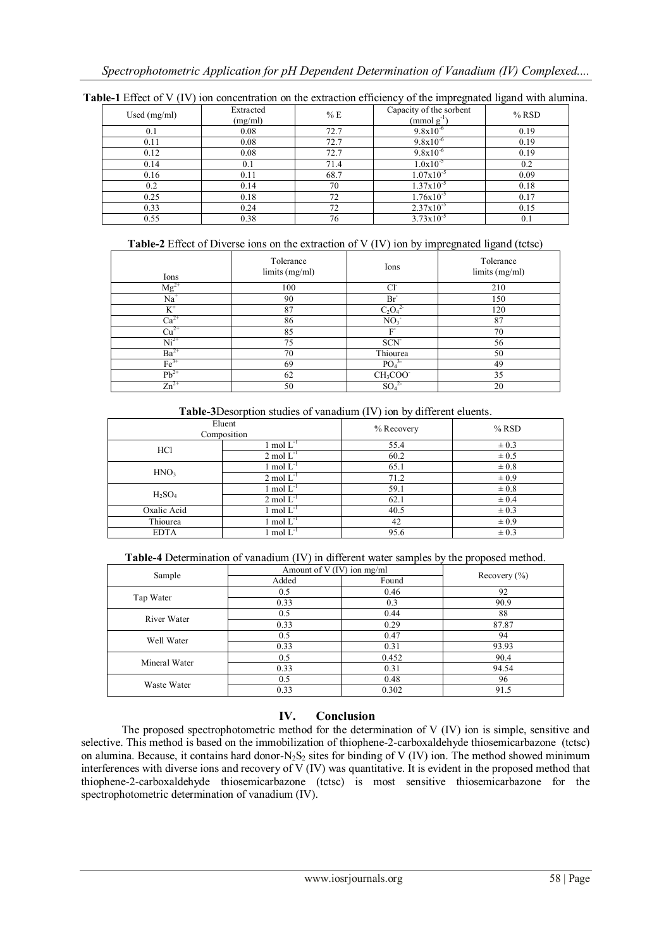| Used $(mg/ml)$ | Extracted<br>(mg/ml) | %E   | Capacity of the sorbent<br>$\pmod{g^{-1}}$ | $%$ RSD |
|----------------|----------------------|------|--------------------------------------------|---------|
| 0.1            | 0.08                 | 72.7 | $9.8x10^{-6}$                              | 0.19    |
| 0.11           | 0.08                 | 72.7 | $9.8x10^{-6}$                              | 0.19    |
| 0.12           | 0.08                 | 72.7 | $9.8x10^{-6}$                              | 0.19    |
| 0.14           | 0.1                  | 71.4 | $1.0x10^{-5}$                              | 0.2     |
| 0.16           | 0.11                 | 68.7 | $1.07x10^{-5}$                             | 0.09    |
| 0.2            | 0.14                 | 70   | $1.37x10^{-5}$                             | 0.18    |
| 0.25           | 0.18                 | 72   | $1.76x10^{-5}$                             | 0.17    |
| 0.33           | 0.24                 | 72   | $2.37x10^{-5}$                             | 0.15    |
| 0.55           | 0.38                 | 76   | $3.73 \times 10^{-5}$                      | 0.1     |

**Table-1** Effect of V (IV) ion concentration on the extraction efficiency of the impregnated ligand with alumina.

**Table-2** Effect of Diverse ions on the extraction of V (IV) ion by impregnated ligand (tctsc)

| Ions             | Tolerance<br>limits (mg/ml) | Ions                             | Tolerance<br>limits (mg/ml) |
|------------------|-----------------------------|----------------------------------|-----------------------------|
| $Mg^{2+}$        | 100                         | $Cl^2$                           | 210                         |
| $Na+$            | 90                          | Br <sup>-</sup>                  | 150                         |
| $K^+$            | 87                          | $C_2O_4^2$                       | 120                         |
| $Ca^{2+}$        | 86                          | NO <sub>3</sub>                  | 87                          |
| $Cu2+$           | 85                          | F                                | 70                          |
| $Ni2+$           | 75                          | SCN <sup>-</sup>                 | 56                          |
| $Ba^{2+}$        | 70                          | Thiourea                         | 50                          |
| $Fe3+$           | 69                          | PO <sub>4</sub>                  | 49                          |
| $Pb^{2+}$        | 62                          | CH <sub>3</sub> COO <sup>-</sup> | 35                          |
| $\text{Zn}^{2+}$ | 50                          | SO <sub>4</sub>                  | 20                          |

| $\ldots$         |                         |            |           |
|------------------|-------------------------|------------|-----------|
|                  | Eluent<br>Composition   | % Recovery | $%$ RSD   |
| HC1              | 1 mol $L^{-1}$          | 55.4       | $\pm 0.3$ |
|                  | $2 \text{ mol } L^{-1}$ | 60.2       | $\pm 0.5$ |
| HNO <sub>3</sub> | 1 mol $L^{-1}$          | 65.1       | $\pm 0.8$ |
|                  | $2 \text{ mol } L^{-1}$ | 71.2       | $\pm 0.9$ |
| $H_2SO_4$        | 1 mol $L^{-1}$          | 59.1       | $\pm 0.8$ |
|                  | $2 \text{ mol} L^{-1}$  | 62.1       | $\pm 0.4$ |
| Oxalic Acid      | 1 mol $L^{-1}$          | 40.5       | $\pm 0.3$ |
| Thiourea         | 1 mol $L^{-1}$          | 42         | $\pm 0.9$ |
| <b>EDTA</b>      | $\lfloor$ mol $L^{-1}$  | 95.6       | $\pm 0.3$ |

**Table-3**Desorption studies of vanadium (IV) ion by different eluents.

|  | <b>Table-4</b> Determination of vanadium (IV) in different water samples by the proposed method. |  |  |  |  |  |
|--|--------------------------------------------------------------------------------------------------|--|--|--|--|--|
|--|--------------------------------------------------------------------------------------------------|--|--|--|--|--|

| Sample        | Amount of $V$ (IV) ion mg/ml |       |                  |  |
|---------------|------------------------------|-------|------------------|--|
|               | Added                        | Found | Recovery $(\% )$ |  |
| Tap Water     | 0.5                          | 0.46  | 92               |  |
|               | 0.33                         | 0.3   | 90.9             |  |
| River Water   | 0.5                          | 0.44  | 88               |  |
|               | 0.33                         | 0.29  | 87.87            |  |
| Well Water    | 0.5                          | 0.47  | 94               |  |
|               | 0.33                         | 0.31  | 93.93            |  |
| Mineral Water | 0.5                          | 0.452 | 90.4             |  |
|               | 0.33                         | 0.31  | 94.54            |  |
| Waste Water   | 0.5                          | 0.48  | 96               |  |
|               | 0.33                         | 0.302 | 91.5             |  |

# **IV. Conclusion**

The proposed spectrophotometric method for the determination of V (IV) ion is simple, sensitive and selective. This method is based on the immobilization of thiophene-2-carboxaldehyde thiosemicarbazone (tctsc) on alumina. Because, it contains hard donor-N<sub>2</sub>S<sub>2</sub> sites for binding of V (IV) ion. The method showed minimum interferences with diverse ions and recovery of V (IV) was quantitative. It is evident in the proposed method that thiophene-2-carboxaldehyde thiosemicarbazone (tctsc) is most sensitive thiosemicarbazone for the spectrophotometric determination of vanadium (IV).